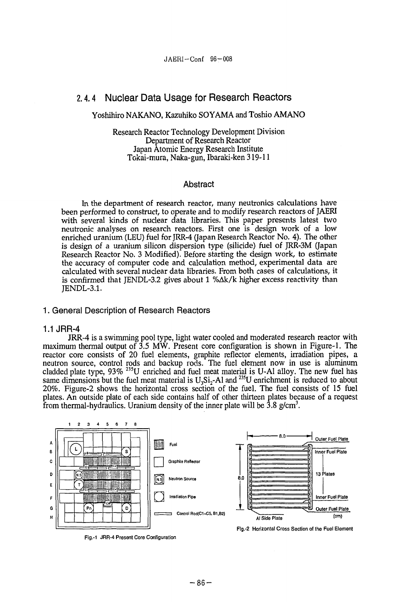# **2.4.4 Nuclear Data Usage for Research Reactors**

## Yoshihiro NAKANO, Kazuhiko SOYAMA and Toshio AMANO

Research Reactor Technology Development Division Department of Research Reactor Japan Atomic Energy Research Institute Tokai-mura, Naka-gun, Ibaraki-ken 319-11

## Abstract

In the department of research reactor, many neutronics calculations have been performed to construct, to operate and to modify research reactors of JAERI with several kinds of nuclear data libraries. This paper presents latest two neutronic analyses on research reactors. First one is design work of a low enriched uranium (LEU) fuel for JRR-4 (Japan Research Reactor No. 4). The other is design of a uranium silicon dispersion type (silicide) fuel of JRR-3M (Japan Research Reactor No. 3 Modified). Before starting the design work, to estimate the accuracy of computer code and calculation method, experimental data are calculated with several nuclear data libraries. From both cases of calculations, it is confirmed that JENDL-3.2 gives about  $1\%$  $\Delta k/k$  higher excess reactivity than JENDL-3.1.

### 1. General Description of Research Reactors

## 1.1 JRR-4

JRR-4 is a swimming pool type, light water cooled and moderated research reactor with maximum thermal output of 3.5 MW. Present core configuration is shown in Figure-1. The reactor core consists of 20 fuel elements, graphite reflector elements, irradiation pipes, a neutron source, control rods and backup rods. The fuel element now in use is aluminum cladded plate type, 93% <sup>235</sup>U enriched and fuel meat material is U-Al alloy. The new fuel has same dimensions but the fuel meat material is  $U_3Si_2$ -Al and  $^{235}U$  enrichment is reduced to about 20%. Figure-2 shows the horizontal cross section of the fuel. The fuel consists of 15 fuel plates. An outside plate of each side contains half of other thirteen plates because of a request from thermal-hydraulics. Uranium density of the inner plate will be 3.8 g/cm<sup>3</sup>.



Fig.-1 JRR-4 Present Core Configuration

Fig.-2 Horizontal Cross Section of the Fuel Element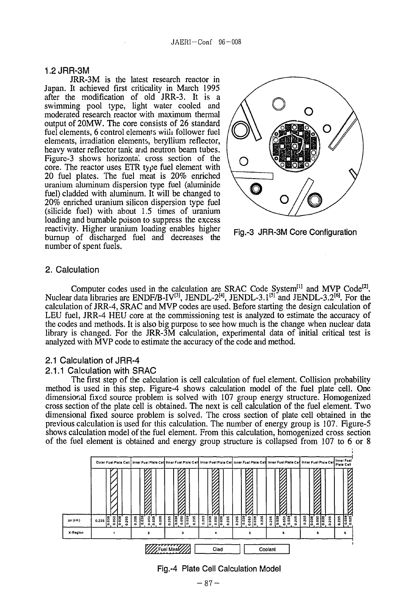### 1.2JRR-3M

JRR-3M is the latest research reactor in Japan. It achieved first criticality in March 1995 after the modification of old JRR-3. It is a swimming pool type, light water cooled and moderated research reactor with maximum thermal output of 20MW. The core consists of 26 standard fuel elements, 6 control elements wiili follower fuel elements, irradiation elements, beryllium reflector, heavy water reflector tank and neutron beam tubes. Figure-3 shows horizontal cross section of the core. The reactor uses ETR type fuel element with 20 fuel plates. The fuel meat is 20% enriched uranium aluminum dispersion type fuel (aluminide fuel) cladded with aluminum. It will be changed to 20% enriched uranium silicon dispersion type fuel (silicide fuel) with about 1.5 times of uranium loading and burnable poison to suppress the excess reactivity. Higher uranium loading enables higher burnup of discharged fuel and decreases the number of spent fuels.





## 2. Calculation

Computer codes used in the calculation are SRAC Code System<sup>[1]</sup> and MVP Code<sup>[2]</sup>. Nuclear data libraries are ENDF/B-IV<sup>[3]</sup>, JENDL-2<sup>[4]</sup>, JENDL-3.1<sup>[5]</sup> and JENDL-3.2<sup>[6]</sup>. For the calculation of JRR-4, SRAC and MVP codes are used. Before starting the design calculation of LEU fuel, JRR-4 HEU core at the commissioning test is analyzed to estimate the accuracy of the codes and methods. It is also big purpose to see how much is the change when nuclear data library is changed. For the JRR-3M calculation, experimental data of initial critical test is analyzed with MVP code to estimate the accuracy of the code and method.

## 2.1 Calculation of JRR-4

#### 2.1.1 Calculation with SRAC

The first step of the calculation is cell calculation of fuel element. Collision probability method is used in this step. Figure-4 shows calculation model of the fuel plate cell. One dimensional fixed source problem is solved with 107 group energy structure. Homogenized cross section of the plate cell is obtained. The next is cell calculation of the fuel element. Two dimensional fixed source problem is solved. The cross section of plate cell obtained in the previous calculation is used for this calculation. The number of energy group is 107. Figure-5 shows calculation model of the fuel element. From this calculation, homogenized cross section of the fuel element is obtained and energy group structure is collapsed from 107 to 6 or 8



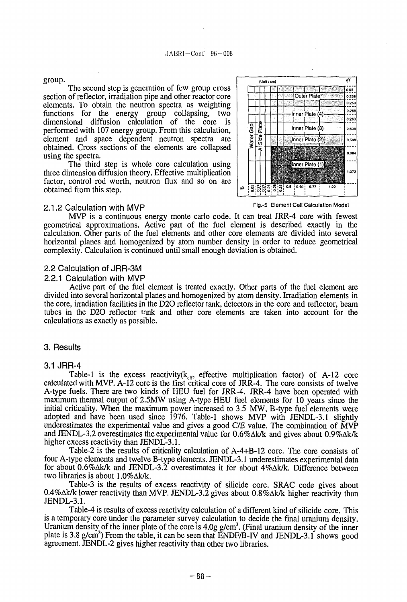#### group.

The second step is generation of few group cross section of reflector, irradiation pipe and other reactor core elements. To obtain the neutron spectra as weighting functions for the energy group collapsing, two dimensional diffusion calculation of the core is performed with 107 energy group. From this calculation, element and space dependent neutron spectra are obtained. Cross sections of the elements are collapsed using the spectra.

The third step is whole core calculation using three dimension diffusion theory. Effective multiplication factor, control rod worth, neutron flux and so on are obtained from this step.



**Fig.** 5 Element Cell Calculation Model

#### 2.1.2 Calculation With MVP

MVP is a continuous energy monte carlo code. It can treat JRR-4 core with fewest geometrical approximations. Active part of the fuel element is described exactly in the calculation. Other parts of the fuel elements and other core elements are divided into several horizontal planes and homogenized by atom number density in order to reduce geometrical complexity. Calculation is continued until small enough deviation is obtained.

#### 2.2 Calculation of JRR-3M

#### 2.2.1 Calculation with MVP

Active part of the fuel element is treated exactly. Other parts of the fuel element are divided into several horizontal planes and homogenized by atom density. Irradiation elements in the core, irradiation facilities in the D2O reflector tank, detectors in the core and reflector, beam tubes in the D2O reflector tank and other core elements are taken into account for the calculations as exactly as possible.

### 3. Results

#### 3.1 JRR-4

Table-1 is the excess reactivity( $k_{eff}$ , effective multiplication factor) of A-12 core calculated with MVP. A-12 core is the first critical core of JRR-4. The core consists of twelve A-type fuels. There are two kinds of HEU fuel for JRR-4. JRR-4 have been operated with maximum thermal output of 2.5MW using A-type HEU fuel elements for 10 years since the initial criticality. When the maximum power increased to 3.5 MW, B-type fuel elements were adopted and have been used since 1976. Table-1 shows MVP with JENDL-3.1 slightly underestimates the experimental value and gives a good C/E value. The combination of  $\tilde{M}V\tilde{P}$ and JENDL-3.2 overestimates the experimental value for  $0.6\%$  $\Delta$ k/k and gives about  $0.9\%$  $\Delta$ k/k higher excess reactivity than JENDL-3.1.

Table-2 is the results of criticality calculation of A-4+B-12 core. The core consists of four A-type elements and twelve B-type elements. JENDL-3.1 underestimates experimental data for about 0.6%Ak/k and JENDL-3.2 overestimates it for about 4%Ak/k. Difference between two libraries is about 1.0%Ak/k.

Table-3 is the results of excess reactivity of silicide core. SRAC code gives about 0.4% $\Delta$ k/k lower reactivity than MVP. JENDL-3.2 gives about 0.8% $\Delta$ k/k higher reactivity than JENDL-3.1.

Table-4 is results of excess reactivity calculation of a different kind of silicide core. This is a temporary core under the parameter survey calculation to decide the final uranium density. Uranium density of the inner plate of the core is  $4.0g\,g/cm^3$ . (Final uranium density of the inner plate is 3.8 g/cm<sup>3</sup>) From the table, it can be seen that ENDF/B-IV and JENDL-3.1 shows good agreement. JENDL-2 gives higher reactivity than other two libraries.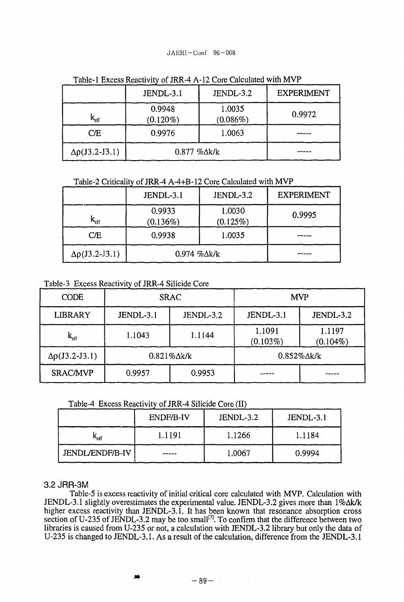## $JAERI-Conf$  96-008

|                          | JENDL-3.1              | JENDL-3.2             | <b>EXPERIMENT</b> |
|--------------------------|------------------------|-----------------------|-------------------|
| $\rm k_{eff}$            | 0.9948<br>$(0.120\%)$  | 1.0035<br>$(0.086\%)$ | 0.9972            |
| CE                       | 0.9976                 | 1.0063                |                   |
| $\Delta\rho$ (J3.2-J3.1) | $0.877$ % $\Delta$ k/k |                       |                   |

Table-1 Excess Reactivity of JRR-4 A-12 Core Calculated with MVP

## Table-2 Criticality of JRR-4 A-4+B-12 Core Calculated with MVP

|                           | JENDL-3.1             | JENDL-3.2             | <b>EXPERIMENT</b> |
|---------------------------|-----------------------|-----------------------|-------------------|
| $\mathbf{k}_{\text{eff}}$ | 0.9933<br>$(0.136\%)$ | 1.0030<br>$(0.125\%)$ | 0.9995            |
| C/E                       | 0.9938                | 1.0035                |                   |
| $\Delta\rho$ (J3.2-J3.1)  | 0.974 %Δk/k           |                       |                   |

Table-3 Excess Reactivity of JRR-4 Silicide Core

| <b>CODE</b>            | <b>SRAC</b>            |           | <b>MVP</b>             |                       |
|------------------------|------------------------|-----------|------------------------|-----------------------|
| <b>LIBRARY</b>         | JENDL-3.1              | JENDL-3.2 | JENDL-3.1              | JENDL-3.2             |
| $\rm k_{eff}$          | 1.1043                 | 1.1144    | 1.1091<br>$(0.103\%)$  | 1.1197<br>$(0.104\%)$ |
| $\Delta p$ (J3.2-J3.1) | $0.821\%$ $\Delta$ k/k |           | $0.852\%$ $\Delta$ k/k |                       |
| <b>SRAC/MVP</b>        | 0.9957                 | 0.9953    |                        |                       |

Table-4 Excess Reactivity of JRR-4 Silicide Core (II)

|                        | ENDF/B-IV | JENDL-3.2 | JENDL-3.1 |
|------------------------|-----------|-----------|-----------|
| $K_{\rm eff}$          | 1.1191    | 1.1266    | 1.1184    |
| <b>JENDL/ENDF/B-IV</b> | -----     | 1.0067    | 0.9994    |

# 3.2 JRR-3M

Table-5 is excess reactivity of initial critical core calculated with MVP. Calculation with JENDL-3.1 slightly overestimates the experimental value. JENDL-3.2 gives more than l%Ak/k higher excess reactivity than JENDL-3.1. It has been known that resonance absorption cross section of U-235 of JENDL-3.2 may be too small<sup>[7]</sup>. To confirm that the difference between two libraries is caused from U-235 or not, a calculation with JENDL-3.2 library but only the data of U-235 is changed to JENDL-3.1. As a result of the calculation, difference from the JENDL-3.1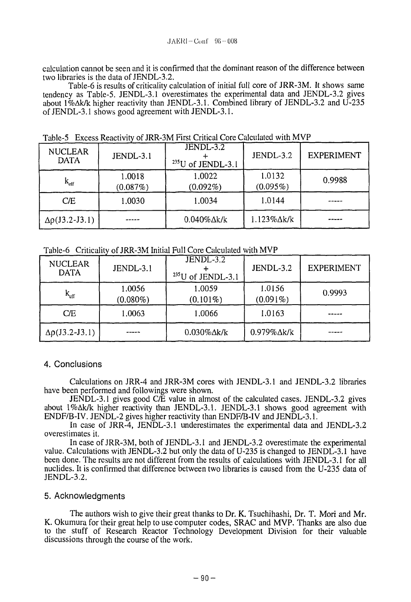calculation cannot be seen and it is confirmed that the dominant reason of the difference between two libraries is the data of JENDL-3.2.

Table-6 is results of criticality calculation of initial full core of JRR-3M. It shows same tendency as Table-5. JENDL-3.1 overestimates the experimental data and JENDL-3.2 gives about  $1\%$  Ak/k higher reactivity than JENDL-3.1. Combined library of JENDL-3.2 and U-235 of JENDL-3.1 shows good agreement with JENDL-3.1.

| <b>NUCLEAR</b><br><b>DATA</b> | <b>JENDL-3.1</b>   | JENDL-3.2<br>$235$ U of JENDL-3.1 | JENDL-3.2              | <b>EXPERIMENT</b> |
|-------------------------------|--------------------|-----------------------------------|------------------------|-------------------|
| $\rm k_{eff}$                 | 1.0018<br>(0.087%) | 1.0022<br>$(0.092\%)$             | 1.0132<br>$(0.095\%)$  | 0.9988            |
| CE                            | 1.0030             | 1.0034                            | 1.0144                 |                   |
| $\Delta\rho$ (J3.2-J3.1)      |                    | $0.040\%$ $\Delta$ k/k            | $1.123\%$ $\Delta$ k/k |                   |

Table-5 Excess Reactivity of JRR-3M First Critical Core Calculated with MVP

|  | Table-6 Criticality of JRR-3M Initial Full Core Calculated with MVP |  |  |
|--|---------------------------------------------------------------------|--|--|
|  |                                                                     |  |  |

| <b>NUCLEAR</b><br><b>DATA</b> | JENDL-3.1             | JENDL-3.2<br>$235$ U of JENDL-3.1 | JENDL-3.2              | <b>EXPERIMENT</b> |
|-------------------------------|-----------------------|-----------------------------------|------------------------|-------------------|
| $\rm k_{eff}$                 | 1.0056<br>$(0.080\%)$ | 1.0059<br>$(0.101\%)$             | 1.0156<br>$(0.091\%)$  | 0.9993            |
| CE                            | 1.0063                | 1.0066                            | 1.0163                 |                   |
| $\Delta\rho$ (J3.2-J3.1)      |                       | $0.030\%$ $\Delta$ k/k            | $0.979\%$ $\Delta$ k/k |                   |

# 4. Conclusions

Calculations on JRR-4 and JRR-3M cores with JENDL-3.1 and JENDL-3.2 libraries have been performed and followings were shown.

JENDL-3.1 gives good C/E value in almost of the calculated cases. JENDL-3.2 gives about l%Ak/k higher reactivity than JENDL-3.1. JENDL-3.1 shows good agreement with ENDF/B-IV. JENDL-2 gives higher reactivity than ENDF/B-IV and JENDL-3.1.

In case of JRR-4, JENDL-3.1 underestimates the experimental data and JENDL-3.2 overestimates it.

In case of JRR-3M, both of JENDL-3.1 and JENDL-3.2 overestimate the experimental value. Calculations with JENDL-3.2 but only the data of U-235 is changed to JENDL-3.1 have been done. The results are not different from the results of calculations with JENDL-3.1 for all nuclides. It is confirmed that difference between two libraries is caused from the U-235 data of JENDL-3.2.

## 5. Acknowledgments

The authors wish to give their great thanks to Dr. K. Tsuchihashi, Dr. T. Mori and Mr. K. Okumura for their great help to use computer codes, SRAC and MVP. Thanks are also due to the stuff of Research Reactor Technology Development Division for their valuable discussions through the course of the work.